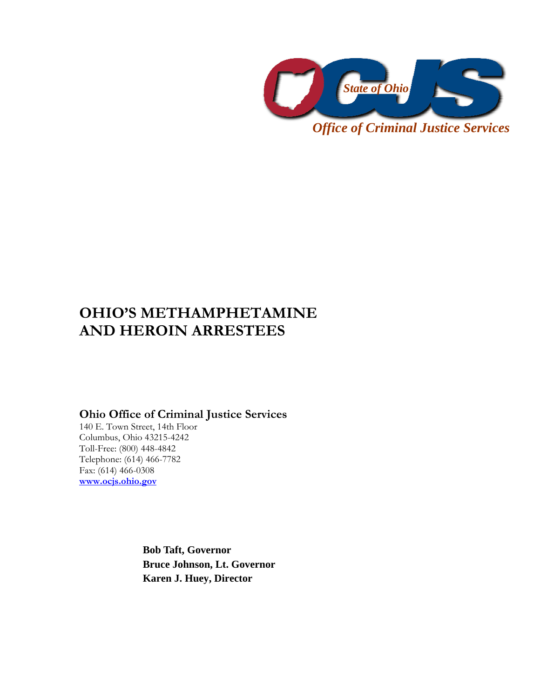

*Office of Criminal Justice Services* 

# **OHIO'S METHAMPHETAMINE AND HEROIN ARRESTEES**

# **Ohio Office of Criminal Justice Services**

140 E. Town Street, 14th Floor Columbus, Ohio 43215-4242 Toll-Free: (800) 448-4842 Telephone: (614) 466-7782 Fax: (614) 466-0308 **www.ocjs.ohio.gov**

> **Bob Taft, Governor Bruce Johnson, Lt. Governor Karen J. Huey, Director**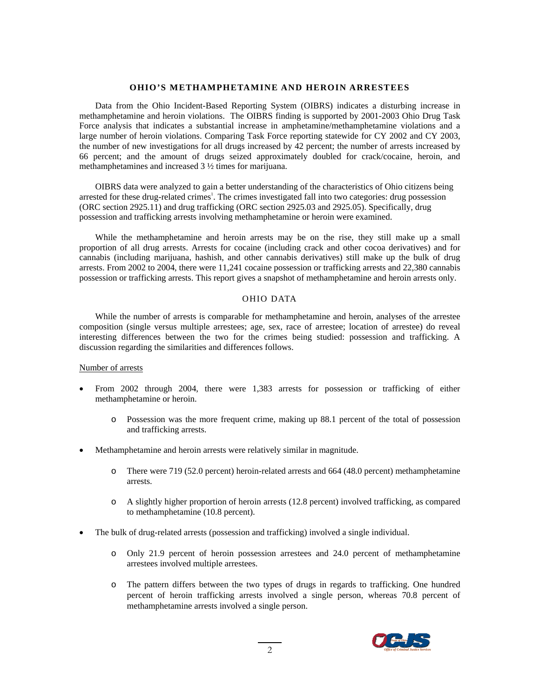## **OHIO'S METHAMPHETAMINE AND HEROIN ARRESTEES**

Data from the Ohio Incident-Based Reporting System (OIBRS) indicates a disturbing increase in methamphetamine and heroin violations. The OIBRS finding is supported by 2001-2003 Ohio Drug Task Force analysis that indicates a substantial increase in amphetamine/methamphetamine violations and a large number of heroin violations. Comparing Task Force reporting statewide for CY 2002 and CY 2003, the number of new investigations for all drugs increased by 42 percent; the number of arrests increased by 66 percent; and the amount of drugs seized approximately doubled for crack/cocaine, heroin, and methamphetamines and increased 3 ½ times for marijuana.

OIBRS data were analyzed to gain a better understanding of the characteristics of Ohio citizens being arrested for these drug-related crimes<sup>1</sup>. The crimes investigated fall into two categories: drug possession (ORC section 2925.11) and drug trafficking (ORC section 2925.03 and 2925.05). Specifically, drug possession and trafficking arrests involving methamphetamine or heroin were examined.

While the methamphetamine and heroin arrests may be on the rise, they still make up a small proportion of all drug arrests. Arrests for cocaine (including crack and other cocoa derivatives) and for cannabis (including marijuana, hashish, and other cannabis derivatives) still make up the bulk of drug arrests. From 2002 to 2004, there were 11,241 cocaine possession or trafficking arrests and 22,380 cannabis possession or trafficking arrests. This report gives a snapshot of methamphetamine and heroin arrests only.

### OHIO DATA

While the number of arrests is comparable for methamphetamine and heroin, analyses of the arrestee composition (single versus multiple arrestees; age, sex, race of arrestee; location of arrestee) do reveal interesting differences between the two for the crimes being studied: possession and trafficking. A discussion regarding the similarities and differences follows.

#### Number of arrests

- From 2002 through 2004, there were 1,383 arrests for possession or trafficking of either methamphetamine or heroin.
	- o Possession was the more frequent crime, making up 88.1 percent of the total of possession and trafficking arrests.
- Methamphetamine and heroin arrests were relatively similar in magnitude.
	- o There were 719 (52.0 percent) heroin-related arrests and 664 (48.0 percent) methamphetamine arrests.
	- o A slightly higher proportion of heroin arrests (12.8 percent) involved trafficking, as compared to methamphetamine (10.8 percent).
- The bulk of drug-related arrests (possession and trafficking) involved a single individual.
	- o Only 21.9 percent of heroin possession arrestees and 24.0 percent of methamphetamine arrestees involved multiple arrestees.
	- o The pattern differs between the two types of drugs in regards to trafficking. One hundred percent of heroin trafficking arrests involved a single person, whereas 70.8 percent of methamphetamine arrests involved a single person.

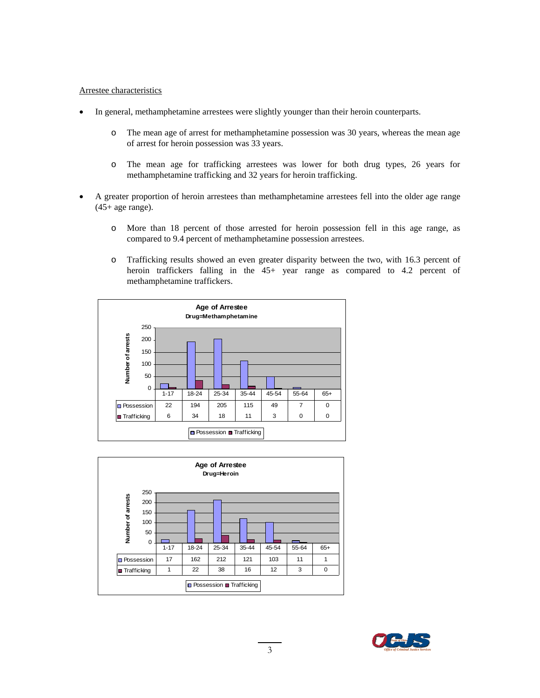#### Arrestee characteristics

- In general, methamphetamine arrestees were slightly younger than their heroin counterparts.
	- o The mean age of arrest for methamphetamine possession was 30 years, whereas the mean age of arrest for heroin possession was 33 years.
	- o The mean age for trafficking arrestees was lower for both drug types, 26 years for methamphetamine trafficking and 32 years for heroin trafficking.
- A greater proportion of heroin arrestees than methamphetamine arrestees fell into the older age range (45+ age range).
	- o More than 18 percent of those arrested for heroin possession fell in this age range, as compared to 9.4 percent of methamphetamine possession arrestees.
	- o Trafficking results showed an even greater disparity between the two, with 16.3 percent of heroin traffickers falling in the 45+ year range as compared to 4.2 percent of methamphetamine traffickers.





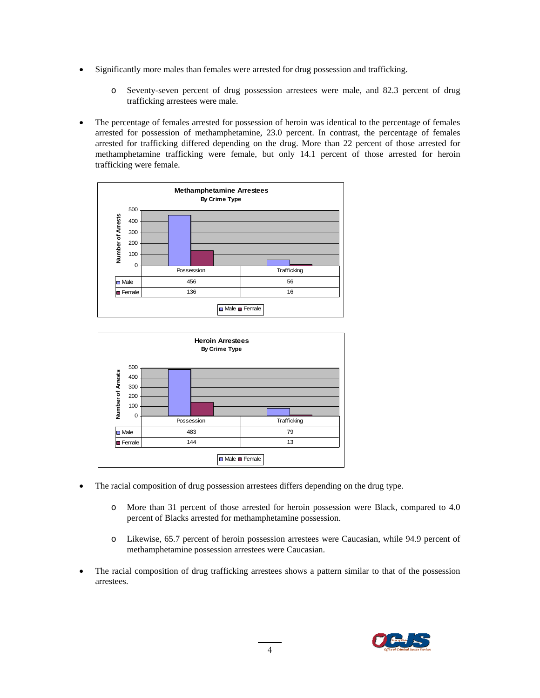- Significantly more males than females were arrested for drug possession and trafficking.
	- o Seventy-seven percent of drug possession arrestees were male, and 82.3 percent of drug trafficking arrestees were male.
- The percentage of females arrested for possession of heroin was identical to the percentage of females arrested for possession of methamphetamine, 23.0 percent. In contrast, the percentage of females arrested for trafficking differed depending on the drug. More than 22 percent of those arrested for methamphetamine trafficking were female, but only 14.1 percent of those arrested for heroin trafficking were female.





- The racial composition of drug possession arrestees differs depending on the drug type.
	- o More than 31 percent of those arrested for heroin possession were Black, compared to 4.0 percent of Blacks arrested for methamphetamine possession.
	- o Likewise, 65.7 percent of heroin possession arrestees were Caucasian, while 94.9 percent of methamphetamine possession arrestees were Caucasian.
- The racial composition of drug trafficking arrestees shows a pattern similar to that of the possession arrestees.

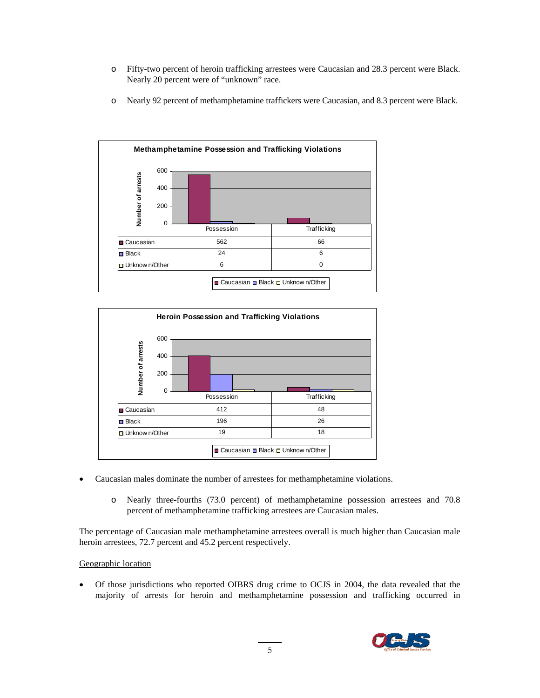- o Fifty-two percent of heroin trafficking arrestees were Caucasian and 28.3 percent were Black. Nearly 20 percent were of "unknown" race.
- o Nearly 92 percent of methamphetamine traffickers were Caucasian, and 8.3 percent were Black.





- Caucasian males dominate the number of arrestees for methamphetamine violations.
	- o Nearly three-fourths (73.0 percent) of methamphetamine possession arrestees and 70.8 percent of methamphetamine trafficking arrestees are Caucasian males.

The percentage of Caucasian male methamphetamine arrestees overall is much higher than Caucasian male heroin arrestees, 72.7 percent and 45.2 percent respectively.

## Geographic location

• Of those jurisdictions who reported OIBRS drug crime to OCJS in 2004, the data revealed that the majority of arrests for heroin and methamphetamine possession and trafficking occurred in